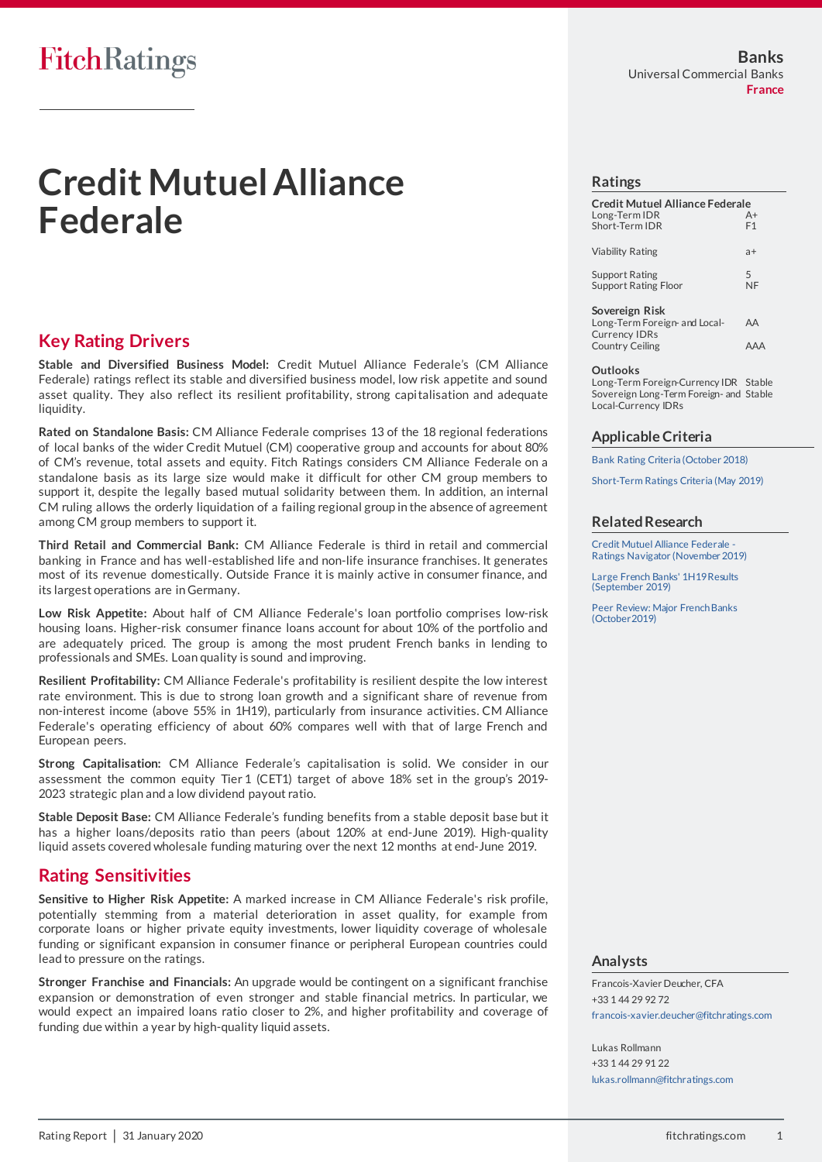# **FitchRatings**

# **Credit Mutuel Alliance Federale**

### **Key Rating Drivers**

**Stable and Diversified Business Model:** Credit Mutuel Alliance Federale's (CM Alliance Federale) ratings reflect its stable and diversified business model, low risk appetite and sound asset quality. They also reflect its resilient profitability, strong capitalisation and adequate liquidity.

**Rated on Standalone Basis:** CM Alliance Federale comprises 13 of the 18 regional federations of local banks of the wider Credit Mutuel (CM) cooperative group and accounts for about 80% of CM's revenue, total assets and equity. Fitch Ratings considers CM Alliance Federale on a standalone basis as its large size would make it difficult for other CM group members to support it, despite the legally based mutual solidarity between them. In addition, an internal CM ruling allows the orderly liquidation of a failing regional group in the absence of agreement among CM group members to support it.

**Third Retail and Commercial Bank:** CM Alliance Federale is third in retail and commercial banking in France and has well-established life and non-life insurance franchises. It generates most of its revenue domestically. Outside France it is mainly active in consumer finance, and its largest operations are in Germany.

**Low Risk Appetite:** About half of CM Alliance Federale's loan portfolio comprises low-risk housing loans. Higher-risk consumer finance loans account for about 10% of the portfolio and are adequately priced. The group is among the most prudent French banks in lending to professionals and SMEs. Loan quality is sound and improving.

**Resilient Profitability:** CM Alliance Federale's profitability is resilient despite the low interest rate environment. This is due to strong loan growth and a significant share of revenue from non-interest income (above 55% in 1H19), particularly from insurance activities. CM Alliance Federale's operating efficiency of about 60% compares well with that of large French and European peers.

**Strong Capitalisation:** CM Alliance Federale's capitalisation is solid. We consider in our assessment the common equity Tier1 (CET1) target of above 18% set in the group's 2019- 2023 strategic plan and a low dividend payout ratio.

**Stable Deposit Base:** CM Alliance Federale's funding benefits from a stable deposit base but it has a higher loans/deposits ratio than peers (about 120% at end-June 2019). High-quality liquid assets covered wholesale funding maturing over the next 12 months at end-June 2019.

### **Rating Sensitivities**

**Sensitive to Higher Risk Appetite:** A marked increase in CM Alliance Federale's risk profile, potentially stemming from a material deterioration in asset quality, for example from corporate loans or higher private equity investments, lower liquidity coverage of wholesale funding or significant expansion in consumer finance or peripheral European countries could lead to pressure on the ratings.

**Stronger Franchise and Financials:** An upgrade would be contingent on a significant franchise expansion or demonstration of even stronger and stable financial metrics. In particular, we would expect an impaired loans ratio closer to 2%, and higher profitability and coverage of funding due within a year by high-quality liquid assets.

### **Ratings**

| Credit Mutuel Alliance Federale<br>Long-Term IDR<br>Short-Term IDR | $A+$<br>F1 |
|--------------------------------------------------------------------|------------|
| Viability Rating                                                   | a+         |
| Support Rating<br><b>Support Rating Floor</b>                      | 5<br>ΝF    |
| Sovereign Risk<br>Long-Term Foreign- and Local-                    |            |

Currency IDRs Country Ceiling AAA

#### **Outlooks**

Long-Term Foreign-Currency IDR Stable Sovereign Long-Term Foreign- and Stable Local-Currency IDRs

### **Applicable Criteria**

[Bank Rating Criteria \(October 2018\)](https://app.fitchconnect.com/search/research/article/RPT_10044408)

[Short-Term Ratings Criteria \(May 2019\)](https://app.fitchconnect.com/search/research/article/RPT_10073011)

### **Related Research**

Credit Mutuel Alliance Federale [Ratings Navigator \(November 2019\)](https://app.fitchconnect.com/search/research/article/RPT_10102941)

[Large French Banks' 1H19 Results](https://app.fitchconnect.com/search/research/article/RPT_10088042)  [\(September 2019\)](https://app.fitchconnect.com/search/research/article/RPT_10088042)

Peer Review: [Major French Banks](https://app.fitchconnect.com/search/research/article/RPT_10089964)  [\(October2019\)](https://app.fitchconnect.com/search/research/article/RPT_10089964)

### **Analysts**

Francois-Xavier Deucher, CFA +33 1 44 29 92 72 [francois-xavier.deucher@fitchratings.com](mailto:francois-xavier.deucher@fitchratings.com)

Lukas Rollmann +33 1 44 29 91 22 [lukas.rollmann@fitchratings.com](mailto:lukas.rollmann@fitchratings.com)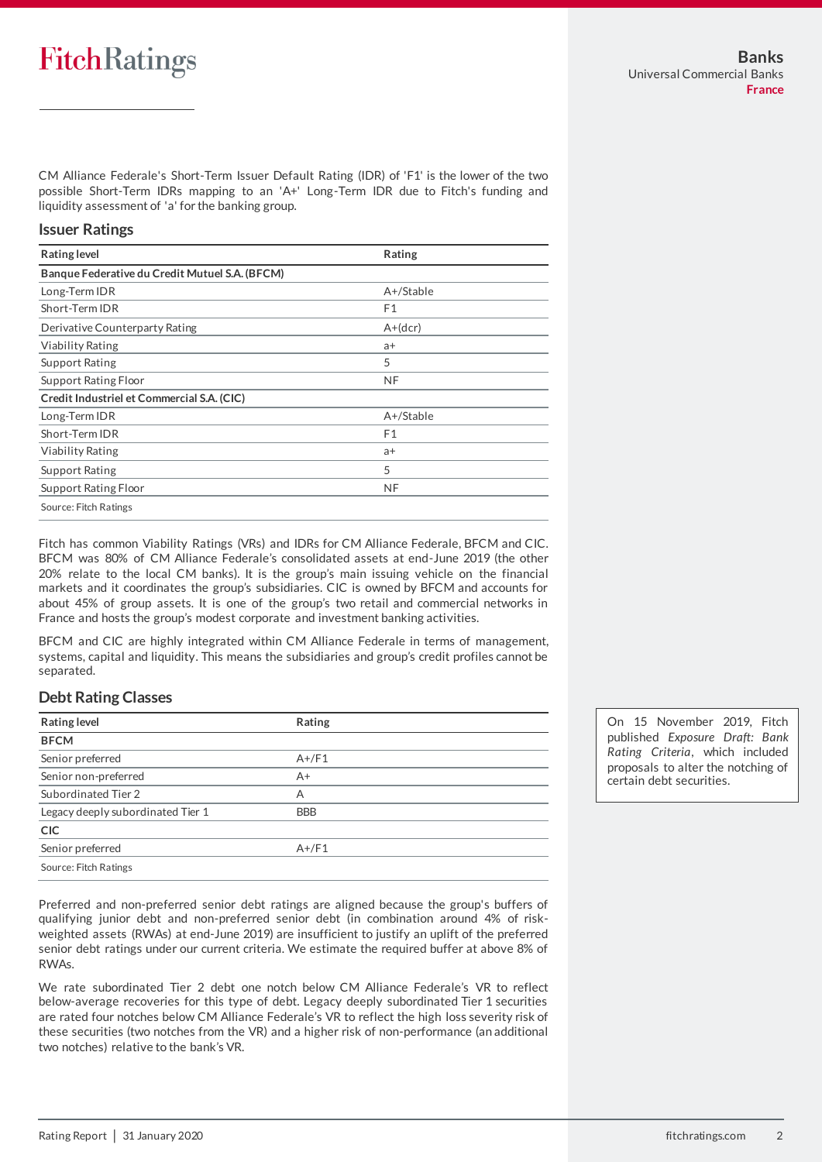# **FitchRatings**

CM Alliance Federale's Short-Term Issuer Default Rating (IDR) of 'F1' is the lower of the two possible Short-Term IDRs mapping to an 'A+' Long-Term IDR due to Fitch's funding and liquidity assessment of 'a' for the banking group.

### **Issuer Ratings**

| <b>Rating level</b>                            | Rating         |
|------------------------------------------------|----------------|
| Banque Federative du Credit Mutuel S.A. (BFCM) |                |
| Long-Term IDR                                  | $A+$ /Stable   |
| Short-Term IDR                                 | F <sub>1</sub> |
| Derivative Counterparty Rating                 | $A+(dcr)$      |
| <b>Viability Rating</b>                        | a+             |
| <b>Support Rating</b>                          | 5              |
| Support Rating Floor                           | <b>NF</b>      |
| Credit Industriel et Commercial S.A. (CIC)     |                |
| Long-Term IDR                                  | $A+$ /Stable   |
| Short-Term IDR                                 | F <sub>1</sub> |
| <b>Viability Rating</b>                        | $a+$           |
| <b>Support Rating</b>                          | 5              |
| Support Rating Floor                           | <b>NF</b>      |
| Source: Fitch Ratings                          |                |

Fitch has common Viability Ratings (VRs) and IDRs for CM Alliance Federale, BFCM and CIC. BFCM was 80% of CM Alliance Federale's consolidated assets at end-June 2019 (the other 20% relate to the local CM banks). It is the group's main issuing vehicle on the financial markets and it coordinates the group's subsidiaries. CIC is owned by BFCM and accounts for about 45% of group assets. It is one of the group's two retail and commercial networks in France and hosts the group's modest corporate and investment banking activities.

BFCM and CIC are highly integrated within CM Alliance Federale in terms of management, systems, capital and liquidity. This means the subsidiaries and group's credit profiles cannot be separated.

### **Debt Rating Classes**

| <b>Rating level</b>               | Rating     |
|-----------------------------------|------------|
| <b>BFCM</b>                       |            |
| Senior preferred                  | $A+/F1$    |
| Senior non-preferred              | $A+$       |
| Subordinated Tier 2               | А          |
| Legacy deeply subordinated Tier 1 | <b>BBB</b> |
| <b>CIC</b>                        |            |
| Senior preferred                  | $A+$ /F1   |
| Source: Fitch Ratings             |            |

Preferred and non-preferred senior debt ratings are aligned because the group's buffers of qualifying junior debt and non-preferred senior debt (in combination around 4% of riskweighted assets (RWAs) at end-June 2019) are insufficient to justify an uplift of the preferred senior debt ratings under our current criteria. We estimate the required buffer at above 8% of RWAs.

We rate subordinated Tier 2 debt one notch below CM Alliance Federale's VR to reflect below-average recoveries for this type of debt. Legacy deeply subordinated Tier 1 securities are rated four notches below CM Alliance Federale's VR to reflect the high loss severity risk of these securities (two notches from the VR) and a higher risk of non-performance (an additional two notches) relative to the bank's VR.

On 15 November 2019, Fitch published *Exposure Draft: Bank Rating Criteria*, which included proposals to alter the notching of certain debt securities.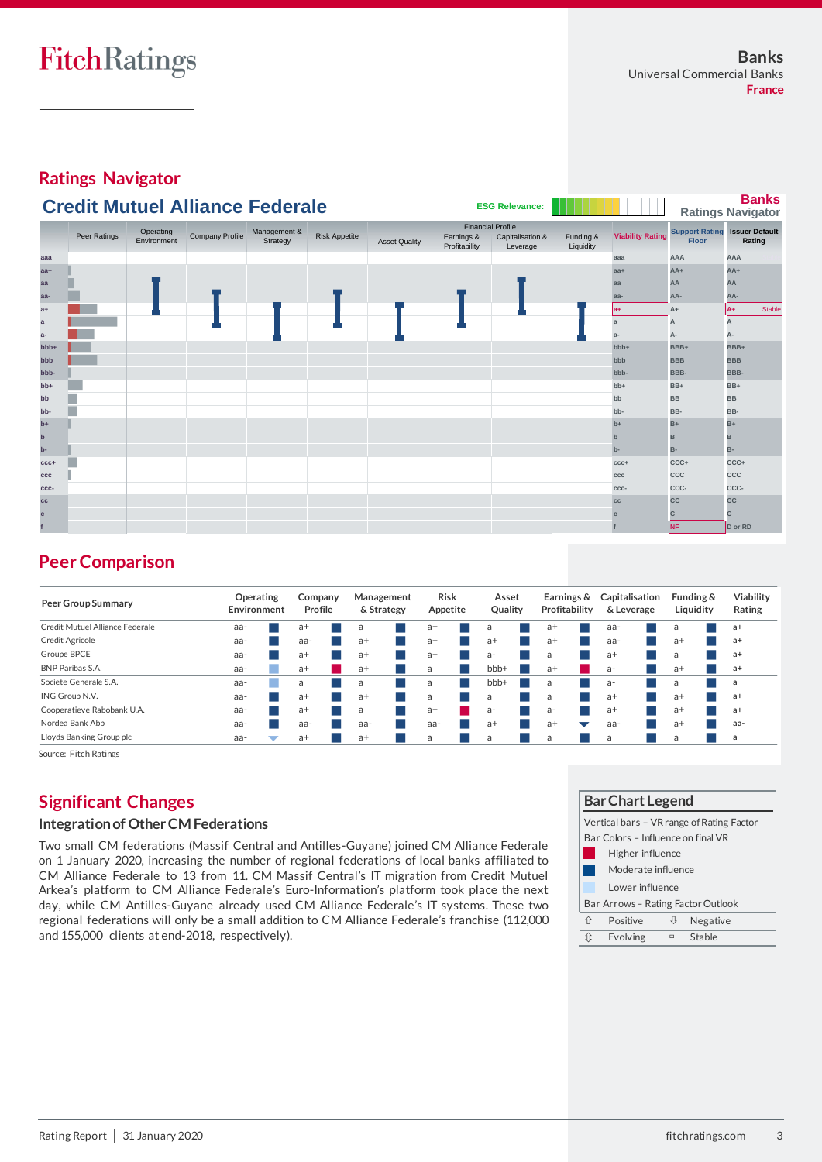**Ratings Navigator**

|                  |              |                          | <b>Credit Mutuel Alliance Federale</b> |                          |                      |                      |                                                         | <b>ESG Relevance:</b>        |                        |                         |                                                      | <b>Banks</b><br><b>Ratings Navigator</b> |
|------------------|--------------|--------------------------|----------------------------------------|--------------------------|----------------------|----------------------|---------------------------------------------------------|------------------------------|------------------------|-------------------------|------------------------------------------------------|------------------------------------------|
|                  | Peer Ratings | Operating<br>Environment | Company Profile                        | Management &<br>Strategy | <b>Risk Appetite</b> | <b>Asset Quality</b> | <b>Financial Profile</b><br>Earnings &<br>Profitability | Capitalisation &<br>Leverage | Funding &<br>Liquidity | <b>Viability Rating</b> | <b>Support Rating Issuer Default</b><br><b>Floor</b> | Rating                                   |
| aaa              |              |                          |                                        |                          |                      |                      |                                                         |                              |                        | aaa                     | AAA                                                  | AAA                                      |
| $aa+$            |              |                          |                                        |                          |                      |                      |                                                         |                              |                        | $aa+$                   | $AA+$                                                | $AA+$                                    |
| aa               |              |                          |                                        |                          |                      |                      |                                                         |                              |                        | aa                      | AA                                                   | AA                                       |
| aa-              |              |                          |                                        |                          |                      |                      |                                                         |                              |                        | aa-                     | AA-                                                  | AA-                                      |
| $a+$             |              |                          |                                        |                          |                      |                      |                                                         |                              |                        | la+                     | A+                                                   | lA+<br><b>Stable</b>                     |
| a                |              |                          |                                        |                          |                      |                      |                                                         |                              |                        | $\mathbf{a}$            | А                                                    | A                                        |
| $a-$             |              |                          |                                        |                          |                      |                      |                                                         |                              |                        | $a-$                    | А-                                                   | A-                                       |
| bb <sub>b+</sub> |              |                          |                                        |                          |                      |                      |                                                         |                              |                        | bbb+                    | BBB+                                                 | BBB+                                     |
| bbb              |              |                          |                                        |                          |                      |                      |                                                         |                              |                        | bbb                     | <b>BBB</b>                                           | <b>BBB</b>                               |
| bbb-             |              |                          |                                        |                          |                      |                      |                                                         |                              |                        | bbb-                    | BBB-                                                 | BBB-                                     |
| $bb+$            |              |                          |                                        |                          |                      |                      |                                                         |                              |                        | $bb+$                   | BB+                                                  | $BB+$                                    |
| bb               |              |                          |                                        |                          |                      |                      |                                                         |                              |                        | bb                      | <b>BB</b>                                            | <b>BB</b>                                |
| bb-              |              |                          |                                        |                          |                      |                      |                                                         |                              |                        | bb-                     | BB-                                                  | BB-                                      |
| $b+$             |              |                          |                                        |                          |                      |                      |                                                         |                              |                        | $b+$                    | $B+$                                                 | $B+$                                     |
| $\mathbf b$      |              |                          |                                        |                          |                      |                      |                                                         |                              |                        | $\mathbf b$             | B                                                    | в                                        |
| $b -$            |              |                          |                                        |                          |                      |                      |                                                         |                              |                        | $b -$                   | <b>B-</b>                                            | B-                                       |
| $CCC +$          |              |                          |                                        |                          |                      |                      |                                                         |                              |                        | $ccc+$                  | CCC+                                                 | CCC+                                     |
| CCC              |              |                          |                                        |                          |                      |                      |                                                         |                              |                        | ccc                     | CCC                                                  | CCC                                      |
| CCC-             |              |                          |                                        |                          |                      |                      |                                                         |                              |                        | ccc-                    | CCC-                                                 | CCC-                                     |
| cc               |              |                          |                                        |                          |                      |                      |                                                         |                              |                        | cc                      | <b>CC</b>                                            | CC                                       |
| $\mathbf{c}$     |              |                          |                                        |                          |                      |                      |                                                         |                              |                        |                         | c                                                    | C                                        |
|                  |              |                          |                                        |                          |                      |                      |                                                         |                              |                        |                         | NF.                                                  | D or RD                                  |

# **Peer Comparison**

| <b>Peer Comparison</b>          |                          |                    |                          |                  |                  |                             |                              |                        |                     |
|---------------------------------|--------------------------|--------------------|--------------------------|------------------|------------------|-----------------------------|------------------------------|------------------------|---------------------|
| <b>Peer Group Summary</b>       | Operating<br>Environment | Company<br>Profile | Management<br>& Strategy | Risk<br>Appetite | Asset<br>Quality | Earnings &<br>Profitability | Capitalisation<br>& Leverage | Funding &<br>Liquidity | Viability<br>Rating |
| Credit Mutuel Alliance Federale | aa-                      | $a+$               | a                        | $a+$             | a                | $a+$                        | aa-                          | a                      | $a+$                |
| Credit Agricole                 | aa-                      | aa-                | $a+$                     | $a+$             | $a+$             | $a+$                        | aa-                          | $a+$                   | $a+$                |
| Groupe BPCE                     | aa-                      | $a+$               | $a+$                     | $a+$             | a-               | a                           | a+                           | a                      | $a+$                |
| BNP Paribas S.A.                | aa-                      | $a+$               | $a+$                     | a                | bbb+             | $a+$                        | $a-$                         | $a+$                   | $a+$                |
| Societe Generale S.A.           | aa-                      | a                  | a                        | a                | bb <sub>+</sub>  | a                           | $a-$                         | a                      | a                   |
| ING Group N.V.                  | aa-                      | $a+$               | $a+$                     | a                | a                | a                           | $a+$                         | $a+$                   | $a+$                |
| Cooperatieve Rabobank U.A.      | aa-                      | $a+$               | a                        | $a+$             | $a -$            | a-                          | $a+$                         | $a+$                   | $a+$                |
| Nordea Bank Abp                 | aa-                      | aa-                | aa-                      | aa-              | $a+$             | $a+$<br>┳                   | aa-                          | $a+$                   | aa-                 |
| Lloyds Banking Group plc        | aa-<br>v                 | $a+$               | $a+$                     | a                | a                | a                           | a                            | a                      | a                   |

# **Significant Changes**

### **Integration of Other CM Federations**

Two small CM federations (Massif Central and Antilles-Guyane) joined CM Alliance Federale on 1 January 2020, increasing the number of regional federations of local banks affiliated to CM Alliance Federale to 13 from 11. CM Massif Central's IT migration from Credit Mutuel Arkea's platform to CM Alliance Federale's Euro-Information's platform took place the next day, while CM Antilles-Guyane already used CM Alliance Federale's IT systems. These two regional federations will only be a small addition to CM Alliance Federale's franchise (112,000 and 155,000 clients at end-2018, respectively).

|                                                                                                                           | <b>Bar Chart Legend</b>                               |        |          |  |  |  |  |
|---------------------------------------------------------------------------------------------------------------------------|-------------------------------------------------------|--------|----------|--|--|--|--|
| Vertical bars - VR range of Rating Factor<br>Bar Colors - Influence on final VR<br>Higher influence<br>Moderate influence |                                                       |        |          |  |  |  |  |
|                                                                                                                           | Lower influence<br>Bar Arrows - Rating Factor Outlook |        |          |  |  |  |  |
| 介                                                                                                                         | Positive                                              | ſ,     | Negative |  |  |  |  |
| ít                                                                                                                        | Evolving                                              | $\Box$ | Stable   |  |  |  |  |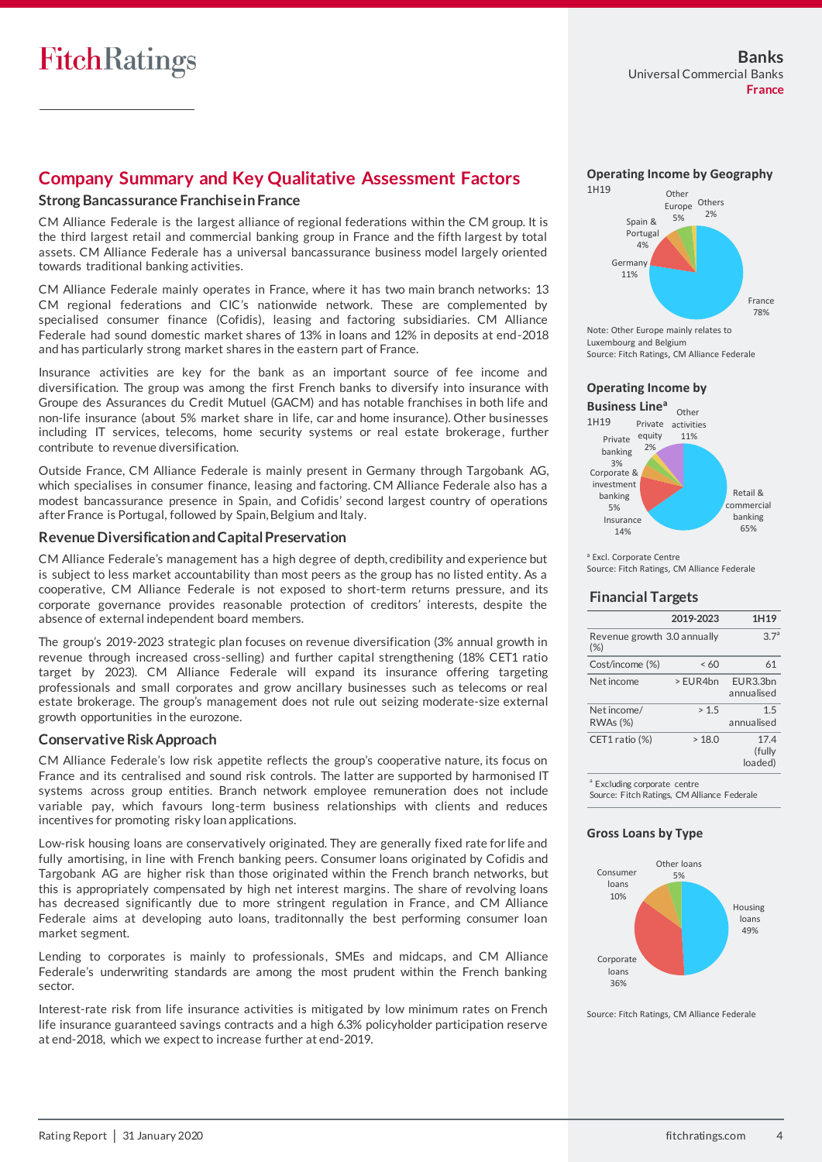## **Company Summary and Key Qualitative Assessment Factors**

### **Strong Bancassurance Franchise in France**

CM Alliance Federale is the largest alliance of regional federations within the CM group. It is the third largest retail and commercial banking group in France and the fifth largest by total assets. CM Alliance Federale has a universal bancassurance business model largely oriented towards traditional banking activities.

CM Alliance Federale mainly operates in France, where it has two main branch networks: 13 CM regional federations and CIC's nationwide network. These are complemented by specialised consumer finance (Cofidis), leasing and factoring subsidiaries. CM Alliance Federale had sound domestic market shares of 13% in loans and 12% in deposits at end-2018 and has particularly strong market shares in the eastern part of France.

Insurance activities are key for the bank as an important source of fee income and diversification. The group was among the first French banks to diversify into insurance with Groupe des Assurances du Credit Mutuel (GACM) and has notable franchises in both life and non-life insurance (about 5% market share in life, car and home insurance). Other businesses including IT services, telecoms, home security systems or real estate brokerage, further contribute to revenue diversification.

Outside France, CM Alliance Federale is mainly present in Germany through Targobank AG, which specialises in consumer finance, leasing and factoring. CM Alliance Federale also has a modest bancassurance presence in Spain, and Cofidis' second largest country of operations after France is Portugal, followed by Spain, Belgium and Italy.

### **Revenue Diversification and Capital Preservation**

CM Alliance Federale's management has a high degree of depth, credibility and experience but is subject to less market accountability than most peers as the group has no listed entity. As a cooperative, CM Alliance Federale is not exposed to short-term returns pressure, and its corporate governance provides reasonable protection of creditors' interests, despite the absence of external independent board members.

The group's 2019-2023 strategic plan focuses on revenue diversification (3% annual growth in revenue through increased cross-selling) and further capital strengthening (18% CET1 ratio target by 2023). CM Alliance Federale will expand its insurance offering targeting professionals and small corporates and grow ancillary businesses such as telecoms or real estate brokerage. The group's management does not rule out seizing moderate-size external growth opportunities in the eurozone.

### **Conservative Risk Approach**

CM Alliance Federale's low risk appetite reflects the group's cooperative nature, its focus on France and its centralised and sound risk controls. The latter are supported by harmonised IT systems across group entities. Branch network employee remuneration does not include variable pay, which favours long-term business relationships with clients and reduces incentives for promoting risky loan applications.

Low-risk housing loans are conservatively originated. They are generally fixed rate for life and fully amortising, in line with French banking peers. Consumer loans originated by Cofidis and Targobank AG are higher risk than those originated within the French branch networks, but this is appropriately compensated by high net interest margins. The share of revolving loans has decreased significantly due to more stringent regulation in France, and CM Alliance Federale aims at developing auto loans, traditonnally the best performing consumer loan market segment.

Lending to corporates is mainly to professionals, SMEs and midcaps, and CM Alliance Federale's underwriting standards are among the most prudent within the French banking sector.

Interest-rate risk from life insurance activities is mitigated by low minimum rates on French life insurance guaranteed savings contracts and a high 6.3% policyholder participation reserve at end-2018, which we expect to increase further at end-2019.





Note: Other Europe mainly relates to Luxembourg and Belgium Source: Fitch Ratings, CM Alliance Federale

### **Operating Income by**



<sup>a</sup> Excl. Corporate Centre Source: Fitch Ratings, CM Alliance Federale

### **Financial Targets**

|                                       | 2019-2023 | 1H19                      |
|---------------------------------------|-----------|---------------------------|
| Revenue growth 3.0 annually<br>$(\%)$ |           | 3.7 <sup>a</sup>          |
| Cost/income (%)                       | < 60      | 61                        |
| Net income                            | > FUR4hn  | FUR3.3hn<br>annualised    |
| Net income/<br><b>RWAs (%)</b>        | >1.5      | 1.5<br>annualised         |
| CET1 ratio (%)                        | >18.0     | 17.4<br>(fully<br>loaded) |

a Excluding corporate centre Source: Fitch Ratings, CM Alliance Federale

### **Gross Loans by Type**



Source: Fitch Ratings, CM Alliance Federale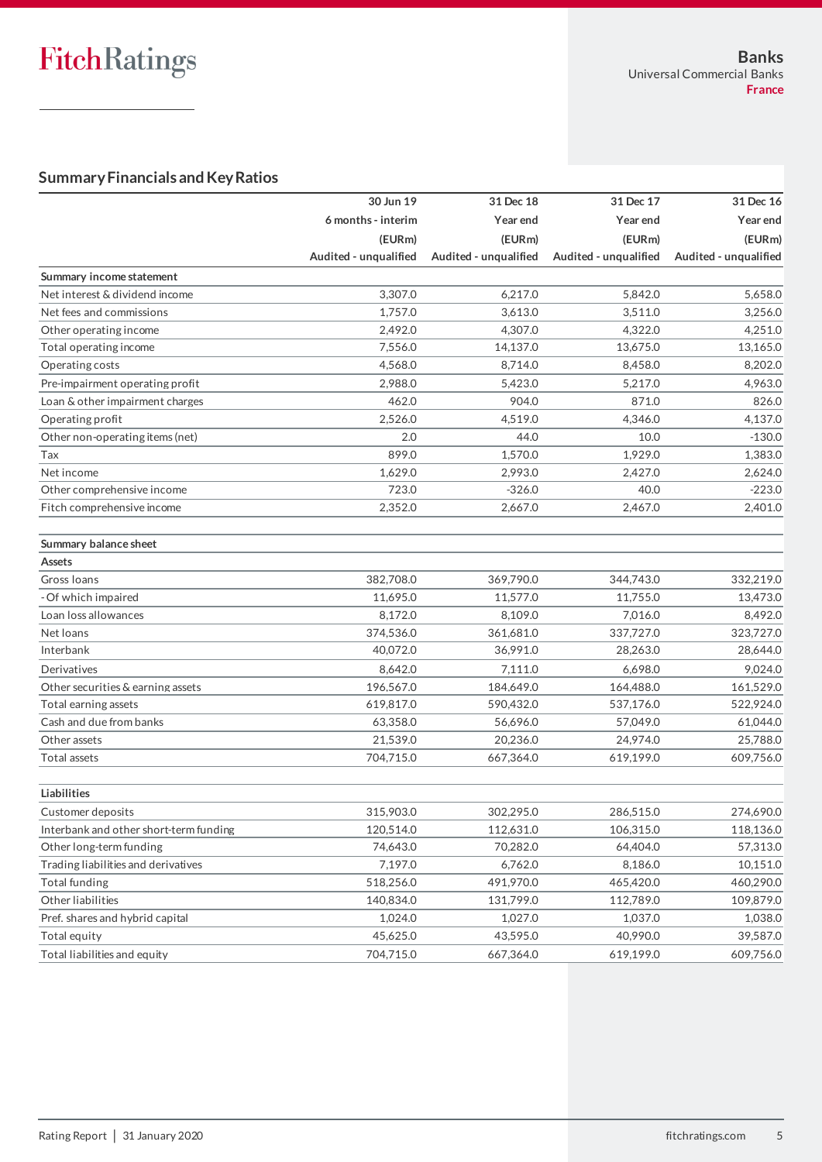# **Summary Financials and Key Ratios**

|                                        | 30 Jun 19             | 31 Dec 18             | 31 Dec 17             | 31 Dec 16             |
|----------------------------------------|-----------------------|-----------------------|-----------------------|-----------------------|
|                                        | 6 months - interim    | Year end              | Year end              | Year end              |
|                                        | (EURm)                | (EURm)                | (EURm)                | (EURm)                |
|                                        | Audited - unqualified | Audited - unqualified | Audited - unqualified | Audited - unqualified |
| Summary income statement               |                       |                       |                       |                       |
| Net interest & dividend income         | 3,307.0               | 6,217.0               | 5,842.0               | 5,658.0               |
| Net fees and commissions               | 1,757.0               | 3,613.0               | 3,511.0               | 3,256.0               |
| Other operating income                 | 2,492.0               | 4,307.0               | 4,322.0               | 4,251.0               |
| Total operating income                 | 7,556.0               | 14,137.0              | 13,675.0              | 13,165.0              |
| Operating costs                        | 4.568.0               | 8,714.0               | 8,458.0               | 8,202.0               |
| Pre-impairment operating profit        | 2,988.0               | 5,423.0               | 5,217.0               | 4,963.0               |
| Loan & other impairment charges        | 462.0                 | 904.0                 | 871.0                 | 826.0                 |
| Operating profit                       | 2,526.0               | 4,519.0               | 4,346.0               | 4,137.0               |
| Other non-operating items (net)        | 2.0                   | 44.0                  | 10.0                  | $-130.0$              |
| Tax                                    | 899.0                 | 1,570.0               | 1,929.0               | 1,383.0               |
| Net income                             | 1,629.0               | 2,993.0               | 2,427.0               | 2,624.0               |
| Other comprehensive income             | 723.0                 | $-326.0$              | 40.0                  | $-223.0$              |
| Fitch comprehensive income             | 2,352.0               | 2,667.0               | 2,467.0               | 2,401.0               |
| Summary balance sheet                  |                       |                       |                       |                       |
| <b>Assets</b>                          |                       |                       |                       |                       |
| Gross Ioans                            | 382,708.0             | 369,790.0             | 344,743.0             | 332,219.0             |
| - Of which impaired                    | 11,695.0              | 11,577.0              | 11,755.0              | 13,473.0              |
| Loan loss allowances                   | 8,172.0               | 8,109.0               | 7,016.0               | 8,492.0               |
| Net loans                              | 374,536.0             | 361,681.0             | 337,727.0             | 323,727.0             |
| Interbank                              | 40,072.0              | 36,991.0              | 28,263.0              | 28,644.0              |
| Derivatives                            | 8,642.0               | 7,111.0               | 6,698.0               | 9,024.0               |
| Other securities & earning assets      | 196,567.0             | 184,649.0             | 164,488.0             | 161,529.0             |
| Total earning assets                   | 619,817.0             | 590,432.0             | 537,176.0             | 522,924.0             |
| Cash and due from banks                | 63,358.0              | 56,696.0              | 57,049.0              | 61,044.0              |
| Other assets                           | 21,539.0              | 20,236.0              | 24,974.0              | 25,788.0              |
| Total assets                           | 704,715.0             | 667,364.0             | 619,199.0             | 609,756.0             |
| Liabilities                            |                       |                       |                       |                       |
| Customer deposits                      | 315,903.0             | 302,295.0             | 286,515.0             | 274,690.0             |
| Interbank and other short-term funding | 120,514.0             | 112,631.0             | 106,315.0             | 118,136.0             |
| Other long-term funding                | 74,643.0              | 70,282.0              | 64,404.0              | 57,313.0              |
| Trading liabilities and derivatives    | 7,197.0               | 6,762.0               | 8,186.0               | 10,151.0              |
| Total funding                          | 518,256.0             | 491,970.0             | 465,420.0             | 460,290.0             |
| Other liabilities                      | 140,834.0             | 131,799.0             | 112,789.0             | 109,879.0             |
| Pref. shares and hybrid capital        | 1,024.0               | 1,027.0               | 1,037.0               | 1,038.0               |
| Total equity                           | 45,625.0              | 43,595.0              | 40,990.0              | 39,587.0              |
| Total liabilities and equity           | 704,715.0             | 667,364.0             | 619,199.0             | 609,756.0             |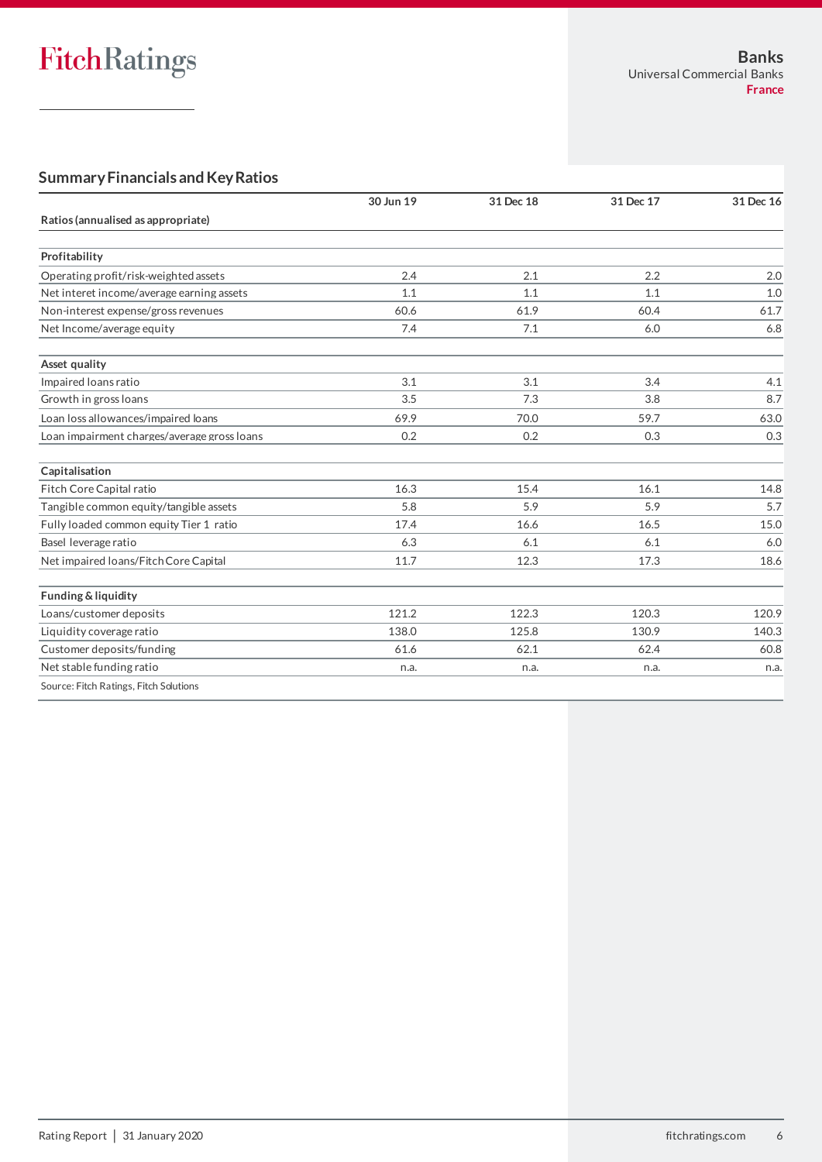# **Summary Financials and Key Ratios**

|                                             | 30 Jun 19 | 31 Dec 18 | 31 Dec 17 | 31 Dec 16 |
|---------------------------------------------|-----------|-----------|-----------|-----------|
| Ratios (annualised as appropriate)          |           |           |           |           |
|                                             |           |           |           |           |
| Profitability                               |           |           |           |           |
| Operating profit/risk-weighted assets       | 2.4       | 2.1       | 2.2       | 2.0       |
| Net interet income/average earning assets   | 1.1       | 1.1       | 1.1       | 1.0       |
| Non-interest expense/gross revenues         | 60.6      | 61.9      | 60.4      | 61.7      |
| Net Income/average equity                   | 7.4       | 7.1       | 6.0       | 6.8       |
| Asset quality                               |           |           |           |           |
| Impaired loans ratio                        | 3.1       | 3.1       | 3.4       | 4.1       |
| Growth in gross loans                       | 3.5       | 7.3       | 3.8       | 8.7       |
| Loan loss allowances/impaired loans         | 69.9      | 70.0      | 59.7      | 63.0      |
| Loan impairment charges/average gross loans | 0.2       | 0.2       | 0.3       | 0.3       |
| Capitalisation                              |           |           |           |           |
| Fitch Core Capital ratio                    | 16.3      | 15.4      | 16.1      | 14.8      |
| Tangible common equity/tangible assets      | 5.8       | 5.9       | 5.9       | 5.7       |
| Fully loaded common equity Tier 1 ratio     | 17.4      | 16.6      | 16.5      | 15.0      |
| Basel leverage ratio                        | 6.3       | 6.1       | 6.1       | 6.0       |
| Net impaired loans/Fitch Core Capital       | 11.7      | 12.3      | 17.3      | 18.6      |
| Funding & liquidity                         |           |           |           |           |
| Loans/customer deposits                     | 121.2     | 122.3     | 120.3     | 120.9     |
| Liquidity coverage ratio                    | 138.0     | 125.8     | 130.9     | 140.3     |
| Customer deposits/funding                   | 61.6      | 62.1      | 62.4      | 60.8      |
| Net stable funding ratio                    | n.a.      | n.a.      | n.a.      | n.a.      |
| Source: Fitch Ratings, Fitch Solutions      |           |           |           |           |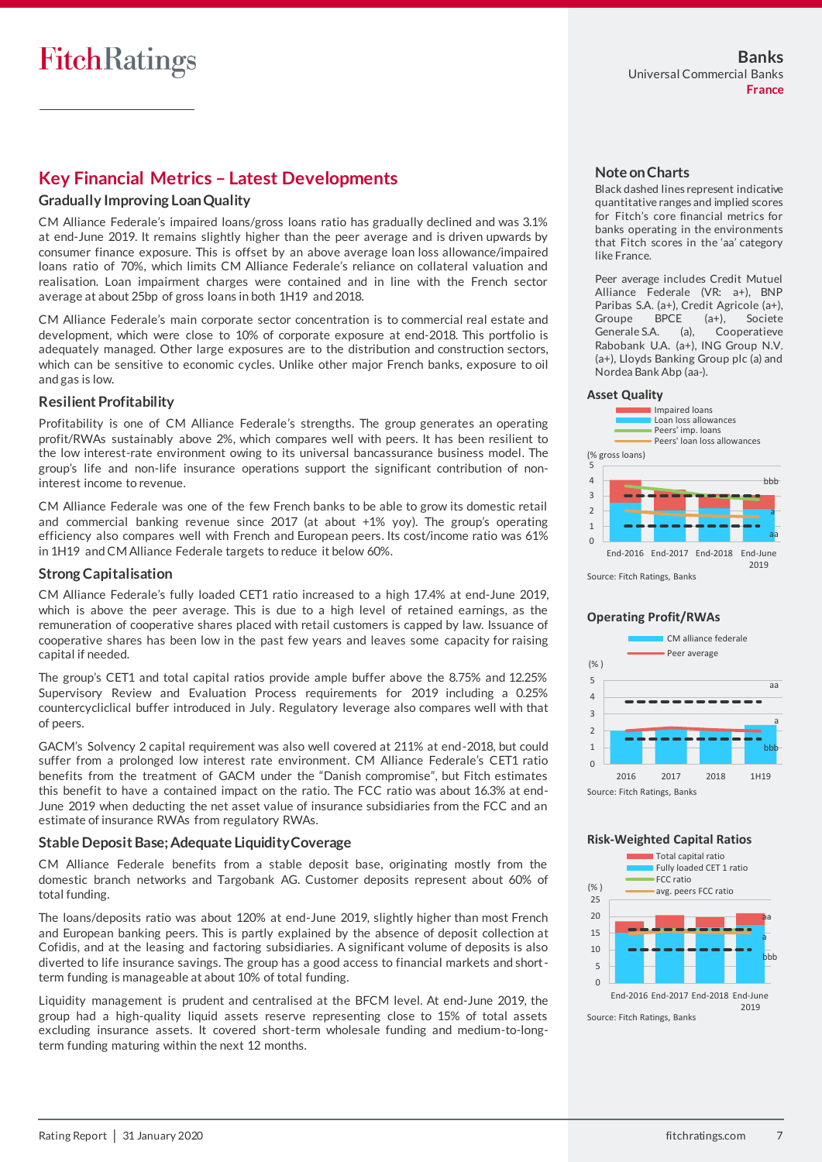## **Key Financial Metrics – Latest Developments**

### **Gradually Improving Loan Quality**

CM Alliance Federale's impaired loans/gross loans ratio has gradually declined and was 3.1% at end-June 2019. It remains slightly higher than the peer average and is driven upwards by consumer finance exposure. This is offset by an above average loan loss allowance/impaired loans ratio of 70%, which limits CM Alliance Federale's reliance on collateral valuation and realisation. Loan impairment charges were contained and in line with the French sector average at about 25bp of gross loans in both 1H19 and 2018.

CM Alliance Federale's main corporate sector concentration is to commercial real estate and development, which were close to 10% of corporate exposure at end-2018. This portfolio is adequately managed. Other large exposures are to the distribution and construction sectors, which can be sensitive to economic cycles. Unlike other major French banks, exposure to oil and gas is low.

### **Resilient Profitability**

Profitability is one of CM Alliance Federale's strengths. The group generates an operating profit/RWAs sustainably above 2%, which compares well with peers. It has been resilient to the low interest-rate environment owing to its universal bancassurance business model. The group's life and non-life insurance operations support the significant contribution of noninterest income to revenue.

CM Alliance Federale was one of the few French banks to be able to grow its domestic retail and commercial banking revenue since 2017 (at about +1% yoy). The group's operating efficiency also compares well with French and European peers. Its cost/income ratio was 61% in 1H19 and CM Alliance Federale targets to reduce it below 60%.

### **Strong Capitalisation**

CM Alliance Federale's fully loaded CET1 ratio increased to a high 17.4% at end-June 2019, which is above the peer average. This is due to a high level of retained earnings, as the remuneration of cooperative shares placed with retail customers is capped by law. Issuance of cooperative shares has been low in the past few years and leaves some capacity for raising capital if needed.

The group's CET1 and total capital ratios provide ample buffer above the 8.75% and 12.25% Supervisory Review and Evaluation Process requirements for 2019 including a 0.25% countercycliclical buffer introduced in July. Regulatory leverage also compares well with that of peers.

GACM's Solvency 2 capital requirement was also well covered at 211% at end-2018, but could suffer from a prolonged low interest rate environment. CM Alliance Federale's CET1 ratio benefits from the treatment of GACM under the "Danish compromise", but Fitch estimates this benefit to have a contained impact on the ratio. The FCC ratio was about 16.3% at end-June 2019 when deducting the net asset value of insurance subsidiaries from the FCC and an estimate of insurance RWAs from regulatory RWAs.

### **Stable Deposit Base; Adequate Liquidity Coverage**

CM Alliance Federale benefits from a stable deposit base, originating mostly from the domestic branch networks and Targobank AG. Customer deposits represent about 60% of total funding.

The loans/deposits ratio was about 120% at end-June 2019, slightly higher than most French and European banking peers. This is partly explained by the absence of deposit collection at Cofidis, and at the leasing and factoring subsidiaries. A significant volume of deposits is also diverted to life insurance savings. The group has a good access to financial markets and shortterm funding is manageable at about 10% of total funding.

Liquidity management is prudent and centralised at the BFCM level. At end-June 2019, the group had a high-quality liquid assets reserve representing close to 15% of total assets excluding insurance assets. It covered short-term wholesale funding and medium-to-longterm funding maturing within the next 12 months.

### **Note on Charts**

Black dashed lines represent indicative quantitative ranges and implied scores for Fitch's core financial metrics for banks operating in the environments that Fitch scores in the 'aa' category like France.

Peer average includes Credit Mutuel Alliance Federale (VR: a+), BNP Paribas S.A. (a+), Credit Agricole (a+),<br>Groupe BPCE (a+), Societe Groupe BPCE (a+), Societe Generale S.A. (a), Cooperatieve Rabobank U.A. (a+), ING Group N.V. (a+), Lloyds Banking Group plc (a) and Nordea Bank Abp (aa-).

### **Asset Quality**



### **Operating Profit/RWAs**



#### **Risk-Weighted Capital Ratios**



Rating Report │ 31 January 2020 7 and the state of the state of the state of the state of the state of the state of the state of the state of the state of the state of the state of the state of the state of the state of t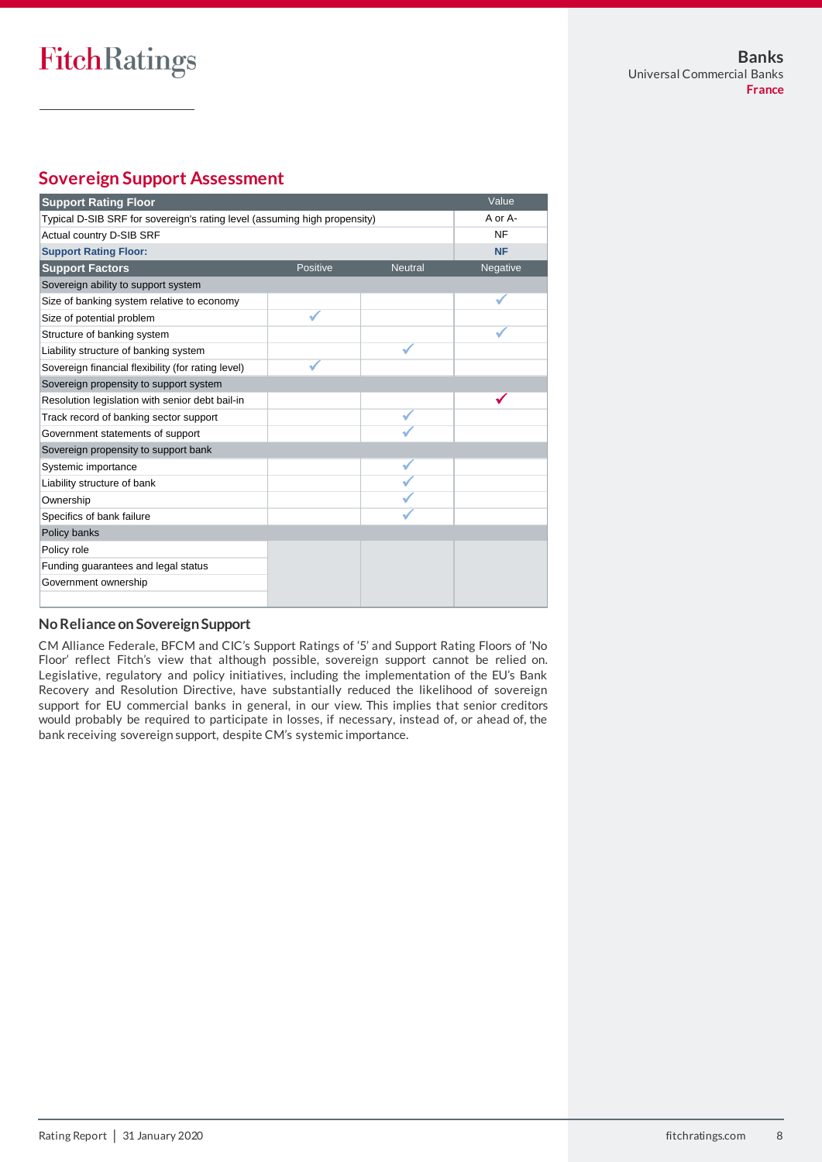# **Sovereign Support Assessment**

| <b>Support Rating Floor</b>                                               |          |                | Value     |
|---------------------------------------------------------------------------|----------|----------------|-----------|
| Typical D-SIB SRF for sovereign's rating level (assuming high propensity) |          |                | A or A-   |
| Actual country D-SIB SRF                                                  |          |                | <b>NF</b> |
| <b>Support Rating Floor:</b>                                              |          |                | <b>NF</b> |
| <b>Support Factors</b>                                                    | Positive | <b>Neutral</b> | Negative  |
| Sovereign ability to support system                                       |          |                |           |
| Size of banking system relative to economy                                |          |                |           |
| Size of potential problem                                                 |          |                |           |
| Structure of banking system                                               |          |                |           |
| Liability structure of banking system                                     |          |                |           |
| Sovereign financial flexibility (for rating level)                        |          |                |           |
| Sovereign propensity to support system                                    |          |                |           |
| Resolution legislation with senior debt bail-in                           |          |                |           |
| Track record of banking sector support                                    |          |                |           |
| Government statements of support                                          |          |                |           |
| Sovereign propensity to support bank                                      |          |                |           |
| Systemic importance                                                       |          |                |           |
| Liability structure of bank                                               |          |                |           |
| Ownership                                                                 |          |                |           |
| Specifics of bank failure                                                 |          |                |           |
| Policy banks                                                              |          |                |           |
| Policy role                                                               |          |                |           |
| Funding guarantees and legal status                                       |          |                |           |
| Government ownership                                                      |          |                |           |
|                                                                           |          |                |           |

### **No Reliance on Sovereign Support**

CM Alliance Federale, BFCM and CIC's Support Ratings of '5' and Support Rating Floors of 'No Floor' reflect Fitch's view that although possible, sovereign support cannot be relied on. Legislative, regulatory and policy initiatives, including the implementation of the EU's Bank Recovery and Resolution Directive, have substantially reduced the likelihood of sovereign support for EU commercial banks in general, in our view. This implies that senior creditors would probably be required to participate in losses, if necessary, instead of, or ahead of, the bank receiving sovereign support, despite CM's systemic importance.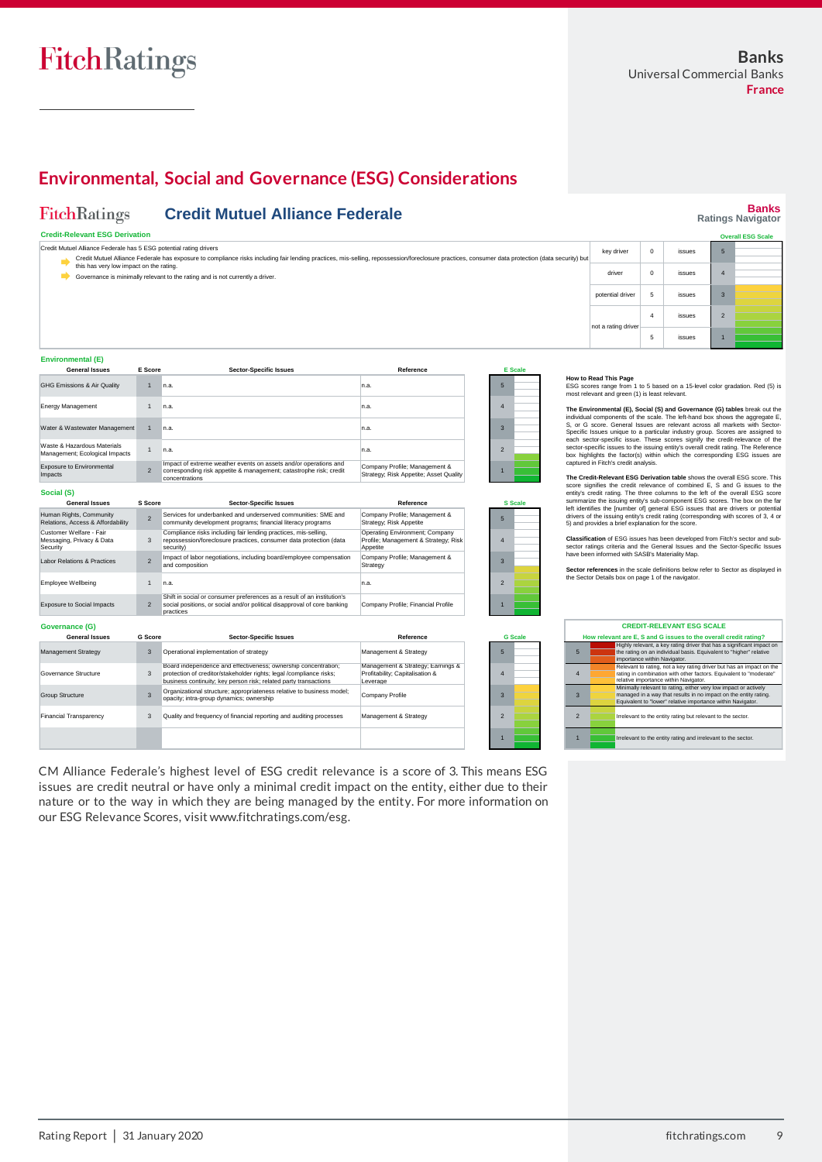## **Environmental, Social and Governance (ESG) Considerations**

#### FitchRatings **Credit Mutuel Alliance Federale**

### **Credit-Relevant ESG Derivation**

| Credit Mutuel Alliance Federale has 5 ESG potential rating drivers                                                                                                                               |                                                              |               |  |  |
|--------------------------------------------------------------------------------------------------------------------------------------------------------------------------------------------------|--------------------------------------------------------------|---------------|--|--|
| Credit Mutuel Alliance Federale has exposure to compliance risks including fair lending practices, mis-selling, repossession/foreclosure practices, consumer data protection (data security) but |                                                              |               |  |  |
| this has very low impact on the rating.                                                                                                                                                          |                                                              |               |  |  |
| Governance is minimally relevant to the rating and is not currently a driver.                                                                                                                    |                                                              | <b>issues</b> |  |  |
|                                                                                                                                                                                                  | key driver<br>issues<br>driver<br>potential driver<br>issues |               |  |  |
|                                                                                                                                                                                                  |                                                              |               |  |  |
|                                                                                                                                                                                                  |                                                              |               |  |  |
|                                                                                                                                                                                                  |                                                              |               |  |  |

Management & Strategy

#### **Environmental (E)**

Financial Transparency

3

 $\frac{1}{2}$   $\frac{1}{2}$   $\leq$ 

| L                                                             |                |                                                                                                                                                          |                                                                         |                         |                |
|---------------------------------------------------------------|----------------|----------------------------------------------------------------------------------------------------------------------------------------------------------|-------------------------------------------------------------------------|-------------------------|----------------|
| <b>General Issues</b>                                         | E Score        | <b>Sector-Specific Issues</b>                                                                                                                            | Reference                                                               |                         | <b>E</b> Scale |
| GHG Emissions & Air Quality                                   | $\overline{1}$ | n.a.                                                                                                                                                     | n.a.                                                                    | 5                       |                |
| <b>Energy Management</b>                                      |                | n.a.                                                                                                                                                     | n.a.                                                                    | 4                       |                |
| Water & Wastewater Management                                 |                | n.a.                                                                                                                                                     | n.a.                                                                    | 3                       |                |
| Waste & Hazardous Materials<br>Management; Ecological Impacts |                | n.a.                                                                                                                                                     | n.a.                                                                    | $\overline{\mathbf{z}}$ |                |
| <b>Exposure to Environmental</b><br>Impacts                   | $\overline{2}$ | Impact of extreme weather events on assets and/or operations and<br>corresponding risk appetite & management; catastrophe risk; credit<br>concentrations | Company Profile; Management &<br>Strategy; Risk Appetite; Asset Quality |                         |                |
| Social (S)                                                    |                |                                                                                                                                                          |                                                                         |                         |                |

| <b>General Issues</b>                                            | <b>S</b> Score           | <b>Sector-Specific Issues</b>                                                                                                                                                                             | Reference                                                                          |                          | <b>S</b> Scale |
|------------------------------------------------------------------|--------------------------|-----------------------------------------------------------------------------------------------------------------------------------------------------------------------------------------------------------|------------------------------------------------------------------------------------|--------------------------|----------------|
| Human Rights, Community<br>Relations, Access & Affordability     | $\overline{\mathbf{c}}$  | Services for underbanked and underserved communities: SME and<br>community development programs; financial literacy programs                                                                              | Company Profile; Management &<br>Strategy; Risk Appetite                           | 5                        |                |
| Customer Welfare - Fair<br>Messaging, Privacy & Data<br>Security | 3                        | Compliance risks including fair lending practices, mis-selling,<br>repossession/foreclosure practices, consumer data protection (data<br>security)                                                        | Operating Environment; Company<br>Profile; Management & Strategy; Risk<br>Appetite | $\Delta$                 |                |
| Labor Relations & Practices                                      | $\overline{\mathcal{L}}$ | Impact of labor negotiations, including board/employee compensation<br>and composition                                                                                                                    | Company Profile; Management &<br>Strategy                                          | з                        |                |
| <b>Employee Wellbeing</b>                                        |                          | n.a.                                                                                                                                                                                                      | n.a.                                                                               | $\overline{\phantom{0}}$ |                |
| <b>Exposure to Social Impacts</b>                                | $\overline{2}$           | Shift in social or consumer preferences as a result of an institution's<br>social positions, or social and/or political disapproval of core banking<br>practices                                          | Company Profile; Financial Profile                                                 |                          |                |
| <b>Governance (G)</b>                                            |                          |                                                                                                                                                                                                           |                                                                                    |                          |                |
| <b>General Issues</b>                                            | <b>G</b> Score           | <b>Sector-Specific Issues</b>                                                                                                                                                                             | Reference                                                                          |                          | <b>G</b> Scale |
| <b>Management Strategy</b>                                       | 3                        | Operational implementation of strategy                                                                                                                                                                    | Management & Strategy                                                              | E                        |                |
| Governance Structure                                             | 3                        | Board independence and effectiveness; ownership concentration;<br>protection of creditor/stakeholder rights; legal /compliance risks;<br>business continuity; key person risk; related party transactions | Management & Strategy; Earnings &<br>Profitability; Capitalisation &<br>Leverage   | $\Delta$                 |                |
| <b>Group Structure</b>                                           | 3                        | Organizational structure; appropriateness relative to business model;<br>opacity; intra-group dynamics; ownership                                                                                         | Company Profile                                                                    | $\mathbf{3}$             |                |

Quality and frequency of financial reporting and auditing processes

CM Alliance Federale's highest level of ESG credit relevance is a score of 3. This means ESG issues are credit neutral or have only a minimal credit impact on the entity, either due to their nature or to the way in which they are being managed by the entity. For more information on our ESG Relevance Scores, visit www.fitchratings.com/esg.

## $\overline{\phantom{0}}$ **How to Read This Page**<br>ESG scores range from 1 to 5 based on a 15-level color gradation. Red (5) is most relevant and green (1) is least

not a rating driver

2 1 The Environmental (Ep, Social (S) and Governance (G) tables break out the individual components of the scale. The left-hand box shows the aggregate E, S, or G score. General Issues are relevant across all markets with Sect

4 issues 5 issues

**The Credit-Relevant ESG Derivation table** shows the overall ESG score. This score signifies the credit relevance of combined E, S and G issues to the entity's credit rating. The three columns to the left of the overall ESG score summarize the issuing entity's sub-component ESG scores. The box on t

**Classification** of ESG issues has been developed from Fitch's sector and sub-sector ratings criteria and the General Issues and the Sector-Specific Issues have been informed with SASB's Materiality Map.

**Sector references** in the scale definitions below refer to Sector as displayed in the Sector Details box on page 1 of the navigator.

|                          | <b>CREDIT-RELEVANT ESG SCALE</b>                                                                                                                                                                    |  |  |  |
|--------------------------|-----------------------------------------------------------------------------------------------------------------------------------------------------------------------------------------------------|--|--|--|
|                          | How relevant are E, S and G issues to the overall credit rating?                                                                                                                                    |  |  |  |
| 5                        | Highly relevant, a key rating driver that has a significant impact on<br>the rating on an individual basis. Equivalent to "higher" relative<br>importance within Navigator.                         |  |  |  |
| $\overline{4}$           | Relevant to rating, not a key rating driver but has an impact on the<br>rating in combination with other factors. Equivalent to "moderate"<br>relative importance within Navigator.                 |  |  |  |
| $\overline{3}$           | Minimally relevant to rating, either very low impact or actively<br>managed in a way that results in no impact on the entity rating.<br>Equivalent to "lower" relative importance within Navigator. |  |  |  |
| $\overline{\phantom{0}}$ | Irrelevant to the entity rating but relevant to the sector.                                                                                                                                         |  |  |  |
| 1                        | Irrelevant to the entity rating and irrelevant to the sector.                                                                                                                                       |  |  |  |

### **Banks Ratings Navigator Overall ESG Scale**

2 1